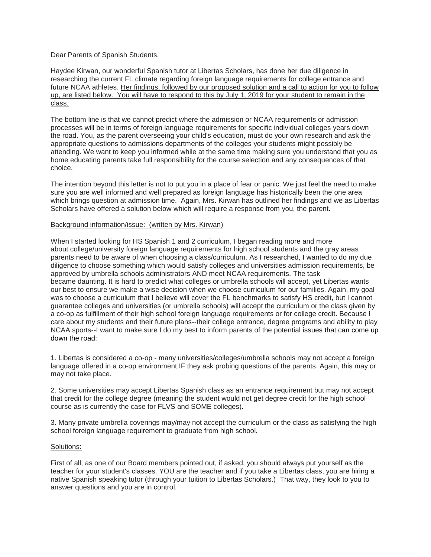Dear Parents of Spanish Students,

Haydee Kirwan, our wonderful Spanish tutor at Libertas Scholars, has done her due diligence in researching the current FL climate regarding foreign language requirements for college entrance and future NCAA athletes. Her findings, followed by our proposed solution and a call to action for you to follow up, are listed below. You will have to respond to this by July 1, 2019 for your student to remain in the class.

The bottom line is that we cannot predict where the admission or NCAA requirements or admission processes will be in terms of foreign language requirements for specific individual colleges years down the road. You, as the parent overseeing your child's education, must do your own research and ask the appropriate questions to admissions departments of the colleges your students might possibly be attending. We want to keep you informed while at the same time making sure you understand that you as home educating parents take full responsibility for the course selection and any consequences of that choice.

The intention beyond this letter is not to put you in a place of fear or panic. We just feel the need to make sure you are well informed and well prepared as foreign language has historically been the one area which brings question at admission time. Again, Mrs. Kirwan has outlined her findings and we as Libertas Scholars have offered a solution below which will require a response from you, the parent.

## Background information/issue: (written by Mrs. Kirwan)

When I started looking for HS Spanish 1 and 2 curriculum, I began reading more and more about college/university foreign language requirements for high school students and the gray areas parents need to be aware of when choosing a class/curriculum. As I researched, I wanted to do my due diligence to choose something which would satisfy colleges and universities admission requirements, be approved by umbrella schools administrators AND meet NCAA requirements. The task became daunting. It is hard to predict what colleges or umbrella schools will accept, yet Libertas wants our best to ensure we make a wise decision when we choose curriculum for our families. Again, my goal was to choose a curriculum that I believe will cover the FL benchmarks to satisfy HS credit, but I cannot guarantee colleges and universities (or umbrella schools) will accept the curriculum or the class given by a co-op as fulfillment of their high school foreign language requirements or for college credit. Because I care about my students and their future plans--their college entrance, degree programs and ability to play NCAA sports--I want to make sure I do my best to inform parents of the potential issues that can come up down the road:

1. Libertas is considered a co-op - many universities/colleges/umbrella schools may not accept a foreign language offered in a co-op environment IF they ask probing questions of the parents. Again, this may or may not take place.

2. Some universities may accept Libertas Spanish class as an entrance requirement but may not accept that credit for the college degree (meaning the student would not get degree credit for the high school course as is currently the case for FLVS and SOME colleges).

3. Many private umbrella coverings may/may not accept the curriculum or the class as satisfying the high school foreign language requirement to graduate from high school.

## Solutions:

First of all, as one of our Board members pointed out, if asked, you should always put yourself as the teacher for your student's classes. YOU are the teacher and if you take a Libertas class, you are hiring a native Spanish speaking tutor (through your tuition to Libertas Scholars.) That way, they look to you to answer questions and you are in control.